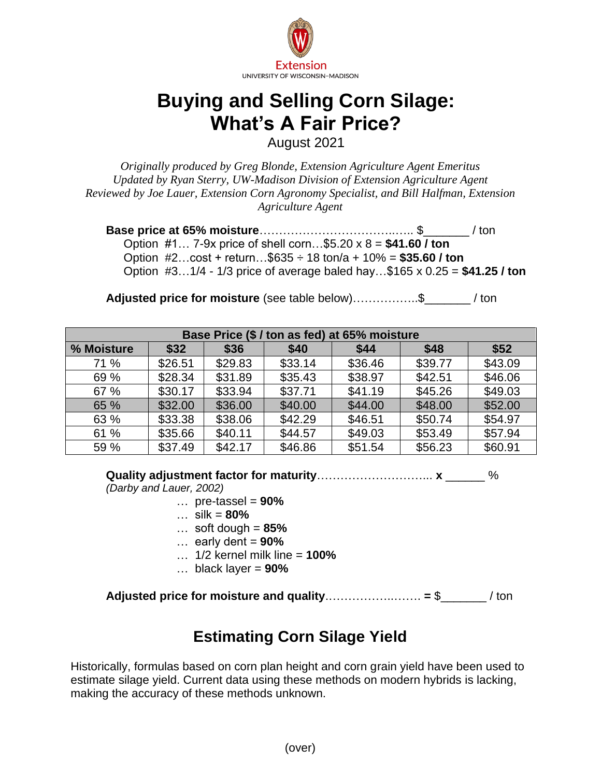

## **Buying and Selling Corn Silage: What's A Fair Price?**

August 2021

*Originally produced by Greg Blonde, Extension Agriculture Agent Emeritus Updated by Ryan Sterry, UW-Madison Division of Extension Agriculture Agent Reviewed by Joe Lauer, Extension Corn Agronomy Specialist, and Bill Halfman, Extension Agriculture Agent*

**Base price at 65% moisture**……………………………..….. \$\_\_\_\_\_\_\_ / ton Option #1… 7-9x price of shell corn…\$5.20 x 8 = **\$41.60 / ton** Option #2…cost + return…\$635 ÷ 18 ton/a + 10% = **\$35.60 / ton** Option #3…1/4 - 1/3 price of average baled hay…\$165 x 0.25 = **\$41.25 / ton**

**Adjusted price for moisture** (see table below)……………..\$\_\_\_\_\_\_\_ / ton

| Base Price (\$ / ton as fed) at 65% moisture |         |         |         |         |         |         |  |  |
|----------------------------------------------|---------|---------|---------|---------|---------|---------|--|--|
| % Moisture                                   | \$32    | \$36    | \$40    | \$44    | \$48    | \$52    |  |  |
| 71 %                                         | \$26.51 | \$29.83 | \$33.14 | \$36.46 | \$39.77 | \$43.09 |  |  |
| 69 %                                         | \$28.34 | \$31.89 | \$35.43 | \$38.97 | \$42.51 | \$46.06 |  |  |
| 67 %                                         | \$30.17 | \$33.94 | \$37.71 | \$41.19 | \$45.26 | \$49.03 |  |  |
| 65 %                                         | \$32.00 | \$36.00 | \$40.00 | \$44.00 | \$48.00 | \$52.00 |  |  |
| 63 %                                         | \$33.38 | \$38.06 | \$42.29 | \$46.51 | \$50.74 | \$54.97 |  |  |
| 61 %                                         | \$35.66 | \$40.11 | \$44.57 | \$49.03 | \$53.49 | \$57.94 |  |  |
| 59 %                                         | \$37.49 | \$42.17 | \$46.86 | \$51.54 | \$56.23 | \$60.91 |  |  |

**Quality adjustment factor for maturity**………………………... **x** \_\_\_\_\_\_ %

*(Darby and Lauer, 2002)*

- … pre-tassel = **90%**
- … silk = **80%**
	- … soft dough = **85%**
	- … early dent = **90%**
	- … 1/2 kernel milk line = **100%**
	- … black layer = **90%**

**Adjusted price for moisture and quality**.……………..……. **=** \$\_\_\_\_\_\_\_ / ton

## **Estimating Corn Silage Yield**

Historically, formulas based on corn plan height and corn grain yield have been used to estimate silage yield. Current data using these methods on modern hybrids is lacking, making the accuracy of these methods unknown.